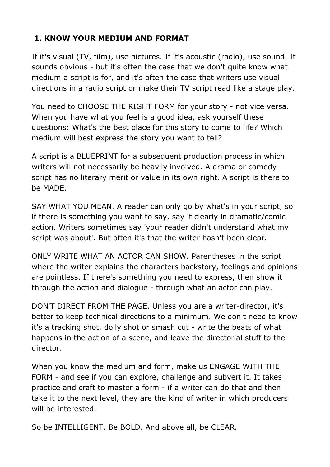## **1. KNOW YOUR MEDIUM AND FORMAT**

If it's visual (TV, film), use pictures. If it's acoustic (radio), use sound. It sounds obvious - but it's often the case that we don't quite know what medium a script is for, and it's often the case that writers use visual directions in a radio script or make their TV script read like a stage play.

You need to CHOOSE THE RIGHT FORM for your story - not vice versa. When you have what you feel is a good idea, ask yourself these questions: What's the best place for this story to come to life? Which medium will best express the story you want to tell?

A script is a BLUEPRINT for a subsequent production process in which writers will not necessarily be heavily involved. A drama or comedy script has no literary merit or value in its own right. A script is there to be MADE.

SAY WHAT YOU MEAN. A reader can only go by what's in your script, so if there is something you want to say, say it clearly in dramatic/comic action. Writers sometimes say 'your reader didn't understand what my script was about'. But often it's that the writer hasn't been clear.

ONLY WRITE WHAT AN ACTOR CAN SHOW. Parentheses in the script where the writer explains the characters backstory, feelings and opinions are pointless. If there's something you need to express, then show it through the action and dialogue - through what an actor can play.

DON'T DIRECT FROM THE PAGE. Unless you are a writer-director, it's better to keep technical directions to a minimum. We don't need to know it's a tracking shot, dolly shot or smash cut - write the beats of what happens in the action of a scene, and leave the directorial stuff to the director.

When you know the medium and form, make us ENGAGE WITH THE FORM - and see if you can explore, challenge and subvert it. It takes practice and craft to master a form - if a writer can do that and then take it to the next level, they are the kind of writer in which producers will be interested.

So be INTELLIGENT. Be BOLD. And above all, be CLEAR.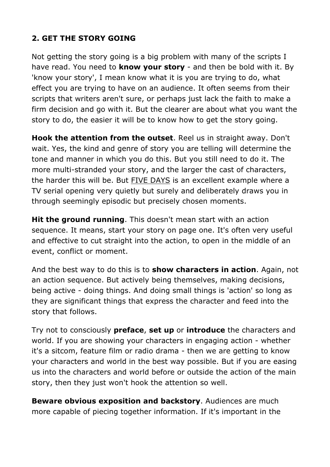## **2. GET THE STORY GOING**

Not getting the story going is a big problem with many of the scripts I have read. You need to **know your story** - and then be bold with it. By 'know your story', I mean know what it is you are trying to do, what effect you are trying to have on an audience. It often seems from their scripts that writers aren't sure, or perhaps just lack the faith to make a firm decision and go with it. But the clearer are about what you want the story to do, the easier it will be to know how to get the story going.

**Hook the attention from the outset**. Reel us in straight away. Don't wait. Yes, the kind and genre of story you are telling will determine the tone and manner in which you do this. But you still need to do it. The more multi-stranded your story, and the larger the cast of characters, the harder this will be. But FIVE DAYS is an excellent example where a TV serial opening very quietly but surely and deliberately draws you in through seemingly episodic but precisely chosen moments.

**Hit the ground running**. This doesn't mean start with an action sequence. It means, start your story on page one. It's often very useful and effective to cut straight into the action, to open in the middle of an event, conflict or moment.

And the best way to do this is to **show characters in action**. Again, not an action sequence. But actively being themselves, making decisions, being active - doing things. And doing small things is 'action' so long as they are significant things that express the character and feed into the story that follows.

Try not to consciously **preface**, **set up** or **introduce** the characters and world. If you are showing your characters in engaging action - whether it's a sitcom, feature film or radio drama - then we are getting to know your characters and world in the best way possible. But if you are easing us into the characters and world before or outside the action of the main story, then they just won't hook the attention so well.

**Beware obvious exposition and backstory**. Audiences are much more capable of piecing together information. If it's important in the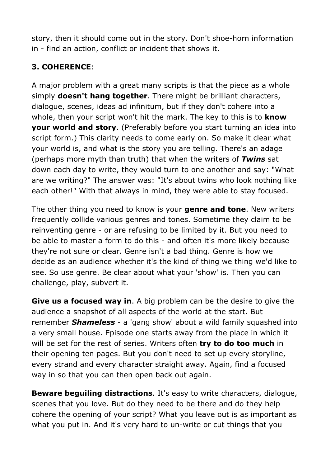story, then it should come out in the story. Don't shoe-horn information in - find an action, conflict or incident that shows it.

# **3. COHERENCE**:

A major problem with a great many scripts is that the piece as a whole simply **doesn't hang together**. There might be brilliant characters, dialogue, scenes, ideas ad infinitum, but if they don't cohere into a whole, then your script won't hit the mark. The key to this is to **know your world and story**. (Preferably before you start turning an idea into script form.) This clarity needs to come early on. So make it clear what your world is, and what is the story you are telling. There's an adage (perhaps more myth than truth) that when the writers of *Twins* sat down each day to write, they would turn to one another and say: "What are we writing?" The answer was: "It's about twins who look nothing like each other!" With that always in mind, they were able to stay focused.

The other thing you need to know is your **genre and tone**. New writers frequently collide various genres and tones. Sometime they claim to be reinventing genre - or are refusing to be limited by it. But you need to be able to master a form to do this - and often it's more likely because they're not sure or clear. Genre isn't a bad thing. Genre is how we decide as an audience whether it's the kind of thing we thing we'd like to see. So use genre. Be clear about what your 'show' is. Then you can challenge, play, subvert it.

**Give us a focused way in**. A big problem can be the desire to give the audience a snapshot of all aspects of the world at the start. But remember *Shameless* - a 'gang show' about a wild family squashed into a very small house. Episode one starts away from the place in which it will be set for the rest of series. Writers often **try to do too much** in their opening ten pages. But you don't need to set up every storyline, every strand and every character straight away. Again, find a focused way in so that you can then open back out again.

**Beware beguiling distractions**. It's easy to write characters, dialogue, scenes that you love. But do they need to be there and do they help cohere the opening of your script? What you leave out is as important as what you put in. And it's very hard to un-write or cut things that you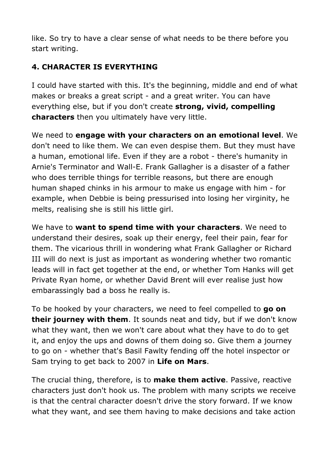like. So try to have a clear sense of what needs to be there before you start writing.

## **4. CHARACTER IS EVERYTHING**

I could have started with this. It's the beginning, middle and end of what makes or breaks a great script - and a great writer. You can have everything else, but if you don't create **strong, vivid, compelling characters** then you ultimately have very little.

We need to **engage with your characters on an emotional level**. We don't need to like them. We can even despise them. But they must have a human, emotional life. Even if they are a robot - there's humanity in Arnie's Terminator and Wall-E. Frank Gallagher is a disaster of a father who does terrible things for terrible reasons, but there are enough human shaped chinks in his armour to make us engage with him - for example, when Debbie is being pressurised into losing her virginity, he melts, realising she is still his little girl.

We have to **want to spend time with your characters**. We need to understand their desires, soak up their energy, feel their pain, fear for them. The vicarious thrill in wondering what Frank Gallagher or Richard III will do next is just as important as wondering whether two romantic leads will in fact get together at the end, or whether Tom Hanks will get Private Ryan home, or whether David Brent will ever realise just how embarassingly bad a boss he really is.

To be hooked by your characters, we need to feel compelled to **go on their journey with them**. It sounds neat and tidy, but if we don't know what they want, then we won't care about what they have to do to get it, and enjoy the ups and downs of them doing so. Give them a journey to go on - whether that's Basil Fawlty fending off the hotel inspector or Sam trying to get back to 2007 in **Life on Mars**.

The crucial thing, therefore, is to **make them active**. Passive, reactive characters just don't hook us. The problem with many scripts we receive is that the central character doesn't drive the story forward. If we know what they want, and see them having to make decisions and take action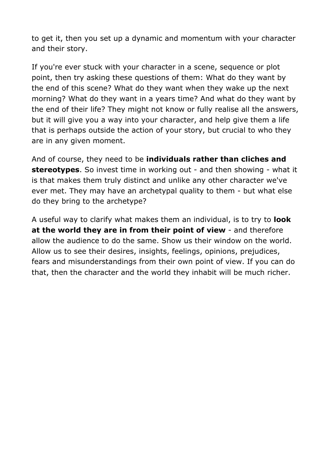to get it, then you set up a dynamic and momentum with your character and their story.

If you're ever stuck with your character in a scene, sequence or plot point, then try asking these questions of them: What do they want by the end of this scene? What do they want when they wake up the next morning? What do they want in a years time? And what do they want by the end of their life? They might not know or fully realise all the answers, but it will give you a way into your character, and help give them a life that is perhaps outside the action of your story, but crucial to who they are in any given moment.

And of course, they need to be **individuals rather than cliches and stereotypes**. So invest time in working out - and then showing - what it is that makes them truly distinct and unlike any other character we've ever met. They may have an archetypal quality to them - but what else do they bring to the archetype?

A useful way to clarify what makes them an individual, is to try to **look at the world they are in from their point of view** - and therefore allow the audience to do the same. Show us their window on the world. Allow us to see their desires, insights, feelings, opinions, prejudices, fears and misunderstandings from their own point of view. If you can do that, then the character and the world they inhabit will be much richer.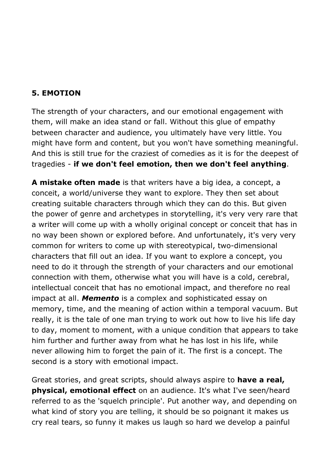#### **5. EMOTION**

The strength of your characters, and our emotional engagement with them, will make an idea stand or fall. Without this glue of empathy between character and audience, you ultimately have very little. You might have form and content, but you won't have something meaningful. And this is still true for the craziest of comedies as it is for the deepest of tragedies - **if we don't feel emotion, then we don't feel anything**.

**A mistake often made** is that writers have a big idea, a concept, a conceit, a world/universe they want to explore. They then set about creating suitable characters through which they can do this. But given the power of genre and archetypes in storytelling, it's very very rare that a writer will come up with a wholly original concept or conceit that has in no way been shown or explored before. And unfortunately, it's very very common for writers to come up with stereotypical, two-dimensional characters that fill out an idea. If you want to explore a concept, you need to do it through the strength of your characters and our emotional connection with them, otherwise what you will have is a cold, cerebral, intellectual conceit that has no emotional impact, and therefore no real impact at all. *Memento* is a complex and sophisticated essay on memory, time, and the meaning of action within a temporal vacuum. But really, it is the tale of one man trying to work out how to live his life day to day, moment to moment, with a unique condition that appears to take him further and further away from what he has lost in his life, while never allowing him to forget the pain of it. The first is a concept. The second is a story with emotional impact.

Great stories, and great scripts, should always aspire to **have a real, physical, emotional effect** on an audience. It's what I've seen/heard referred to as the 'squelch principle'. Put another way, and depending on what kind of story you are telling, it should be so poignant it makes us cry real tears, so funny it makes us laugh so hard we develop a painful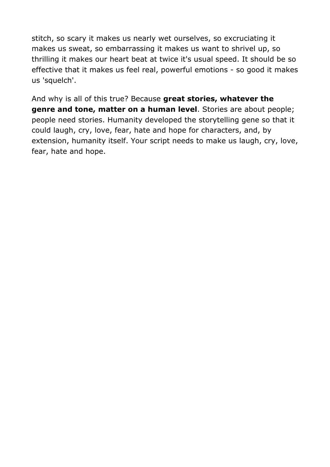stitch, so scary it makes us nearly wet ourselves, so excruciating it makes us sweat, so embarrassing it makes us want to shrivel up, so thrilling it makes our heart beat at twice it's usual speed. It should be so effective that it makes us feel real, powerful emotions - so good it makes us 'squelch'.

And why is all of this true? Because **great stories, whatever the genre and tone, matter on a human level**. Stories are about people; people need stories. Humanity developed the storytelling gene so that it could laugh, cry, love, fear, hate and hope for characters, and, by extension, humanity itself. Your script needs to make us laugh, cry, love, fear, hate and hope.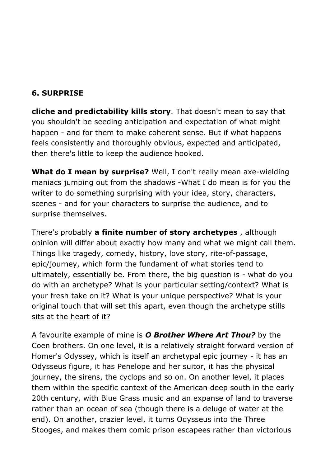#### **6. SURPRISE**

**cliche and predictability kills story**. That doesn't mean to say that you shouldn't be seeding anticipation and expectation of what might happen - and for them to make coherent sense. But if what happens feels consistently and thoroughly obvious, expected and anticipated, then there's little to keep the audience hooked.

**What do I mean by surprise?** Well, I don't really mean axe-wielding maniacs jumping out from the shadows -What I do mean is for you the writer to do something surprising with your idea, story, characters, scenes - and for your characters to surprise the audience, and to surprise themselves.

There's probably **a finite number of story archetypes** , although opinion will differ about exactly how many and what we might call them. Things like tragedy, comedy, history, love story, rite-of-passage, epic/journey, which form the fundament of what stories tend to ultimately, essentially be. From there, the big question is - what do you do with an archetype? What is your particular setting/context? What is your fresh take on it? What is your unique perspective? What is your original touch that will set this apart, even though the archetype stills sits at the heart of it?

A favourite example of mine is *O Brother Where Art Thou?* by the Coen brothers. On one level, it is a relatively straight forward version of Homer's Odyssey, which is itself an archetypal epic journey - it has an Odysseus figure, it has Penelope and her suitor, it has the physical journey, the sirens, the cyclops and so on. On another level, it places them within the specific context of the American deep south in the early 20th century, with Blue Grass music and an expanse of land to traverse rather than an ocean of sea (though there is a deluge of water at the end). On another, crazier level, it turns Odysseus into the Three Stooges, and makes them comic prison escapees rather than victorious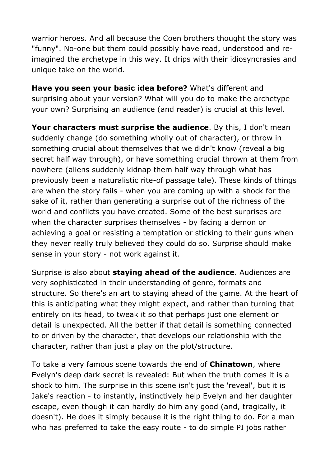warrior heroes. And all because the Coen brothers thought the story was "funny". No-one but them could possibly have read, understood and reimagined the archetype in this way. It drips with their idiosyncrasies and unique take on the world.

**Have you seen your basic idea before?** What's different and surprising about your version? What will you do to make the archetype your own? Surprising an audience (and reader) is crucial at this level.

**Your characters must surprise the audience**. By this, I don't mean suddenly change (do something wholly out of character), or throw in something crucial about themselves that we didn't know (reveal a big secret half way through), or have something crucial thrown at them from nowhere (aliens suddenly kidnap them half way through what has previously been a naturalistic rite-of passage tale). These kinds of things are when the story fails - when you are coming up with a shock for the sake of it, rather than generating a surprise out of the richness of the world and conflicts you have created. Some of the best surprises are when the character surprises themselves - by facing a demon or achieving a goal or resisting a temptation or sticking to their guns when they never really truly believed they could do so. Surprise should make sense in your story - not work against it.

Surprise is also about **staying ahead of the audience**. Audiences are very sophisticated in their understanding of genre, formats and structure. So there's an art to staying ahead of the game. At the heart of this is anticipating what they might expect, and rather than turning that entirely on its head, to tweak it so that perhaps just one element or detail is unexpected. All the better if that detail is something connected to or driven by the character, that develops our relationship with the character, rather than just a play on the plot/structure.

To take a very famous scene towards the end of **Chinatown**, where Evelyn's deep dark secret is revealed: But when the truth comes it is a shock to him. The surprise in this scene isn't just the 'reveal', but it is Jake's reaction - to instantly, instinctively help Evelyn and her daughter escape, even though it can hardly do him any good (and, tragically, it doesn't). He does it simply because it is the right thing to do. For a man who has preferred to take the easy route - to do simple PI jobs rather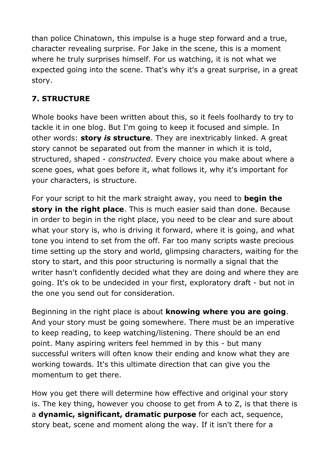than police Chinatown, this impulse is a huge step forward and a true, character revealing surprise. For Jake in the scene, this is a moment where he truly surprises himself. For us watching, it is not what we expected going into the scene. That's why it's a great surprise, in a great story.

## **7. STRUCTURE**

Whole books have been written about this, so it feels foolhardy to try to tackle it in one blog. But I'm going to keep it focused and simple. In other words: **story** *is* **structure**. They are inextricably linked. A great story cannot be separated out from the manner in which it is told, structured, shaped - *constructed*. Every choice you make about where a scene goes, what goes before it, what follows it, why it's important for your characters, is structure.

For your script to hit the mark straight away, you need to **begin the story in the right place**. This is much easier said than done. Because in order to begin in the right place, you need to be clear and sure about what your story is, who is driving it forward, where it is going, and what tone you intend to set from the off. Far too many scripts waste precious time setting up the story and world, glimpsing characters, waiting for the story to start, and this poor structuring is normally a signal that the writer hasn't confidently decided what they are doing and where they are going. It's ok to be undecided in your first, exploratory draft - but not in the one you send out for consideration.

Beginning in the right place is about **knowing where you are going**. And your story must be going somewhere. There must be an imperative to keep reading, to keep watching/listening. There should be an end point. Many aspiring writers feel hemmed in by this - but many successful writers will often know their ending and know what they are working towards. It's this ultimate direction that can give you the momentum to get there.

How you get there will determine how effective and original your story is. The key thing, however you choose to get from A to Z, is that there is a **dynamic, significant, dramatic purpose** for each act, sequence, story beat, scene and moment along the way. If it isn't there for a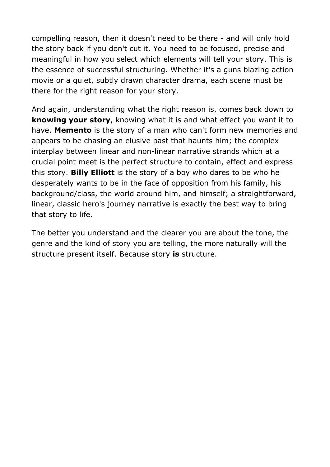compelling reason, then it doesn't need to be there - and will only hold the story back if you don't cut it. You need to be focused, precise and meaningful in how you select which elements will tell your story. This is the essence of successful structuring. Whether it's a guns blazing action movie or a quiet, subtly drawn character drama, each scene must be there for the right reason for your story.

And again, understanding what the right reason is, comes back down to **knowing your story**, knowing what it is and what effect you want it to have. **Memento** is the story of a man who can't form new memories and appears to be chasing an elusive past that haunts him; the complex interplay between linear and non-linear narrative strands which at a crucial point meet is the perfect structure to contain, effect and express this story. **Billy Elliott** is the story of a boy who dares to be who he desperately wants to be in the face of opposition from his family, his background/class, the world around him, and himself; a straightforward, linear, classic hero's journey narrative is exactly the best way to bring that story to life.

The better you understand and the clearer you are about the tone, the genre and the kind of story you are telling, the more naturally will the structure present itself. Because story **is** structure.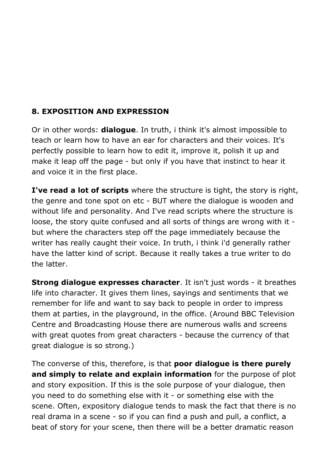### **8. EXPOSITION AND EXPRESSION**

Or in other words: **dialogue**. In truth, i think it's almost impossible to teach or learn how to have an ear for characters and their voices. It's perfectly possible to learn how to edit it, improve it, polish it up and make it leap off the page - but only if you have that instinct to hear it and voice it in the first place.

**I've read a lot of scripts** where the structure is tight, the story is right, the genre and tone spot on etc - BUT where the dialogue is wooden and without life and personality. And I've read scripts where the structure is loose, the story quite confused and all sorts of things are wrong with it but where the characters step off the page immediately because the writer has really caught their voice. In truth, i think i'd generally rather have the latter kind of script. Because it really takes a true writer to do the latter.

**Strong dialogue expresses character**. It isn't just words - it breathes life into character. It gives them lines, sayings and sentiments that we remember for life and want to say back to people in order to impress them at parties, in the playground, in the office. (Around BBC Television Centre and Broadcasting House there are numerous walls and screens with great quotes from great characters - because the currency of that great dialogue is so strong.)

The converse of this, therefore, is that **poor dialogue is there purely and simply to relate and explain information** for the purpose of plot and story exposition. If this is the sole purpose of your dialogue, then you need to do something else with it - or something else with the scene. Often, expository dialogue tends to mask the fact that there is no real drama in a scene - so if you can find a push and pull, a conflict, a beat of story for your scene, then there will be a better dramatic reason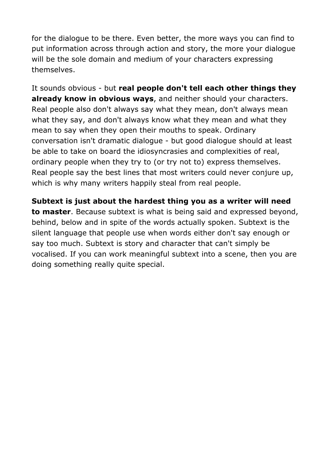for the dialogue to be there. Even better, the more ways you can find to put information across through action and story, the more your dialogue will be the sole domain and medium of your characters expressing themselves.

It sounds obvious - but **real people don't tell each other things they already know in obvious ways**, and neither should your characters. Real people also don't always say what they mean, don't always mean what they say, and don't always know what they mean and what they mean to say when they open their mouths to speak. Ordinary conversation isn't dramatic dialogue - but good dialogue should at least be able to take on board the idiosyncrasies and complexities of real, ordinary people when they try to (or try not to) express themselves. Real people say the best lines that most writers could never conjure up, which is why many writers happily steal from real people.

**Subtext is just about the hardest thing you as a writer will need to master**. Because subtext is what is being said and expressed beyond, behind, below and in spite of the words actually spoken. Subtext is the silent language that people use when words either don't say enough or say too much. Subtext is story and character that can't simply be vocalised. If you can work meaningful subtext into a scene, then you are doing something really quite special.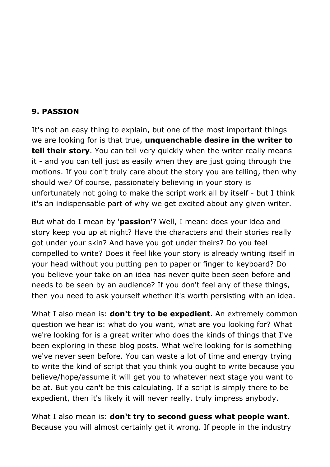#### **9. PASSION**

It's not an easy thing to explain, but one of the most important things we are looking for is that true, **unquenchable desire in the writer to tell their story**. You can tell very quickly when the writer really means it - and you can tell just as easily when they are just going through the motions. If you don't truly care about the story you are telling, then why should we? Of course, passionately believing in your story is unfortunately not going to make the script work all by itself - but I think it's an indispensable part of why we get excited about any given writer.

But what do I mean by '**passion**'? Well, I mean: does your idea and story keep you up at night? Have the characters and their stories really got under your skin? And have you got under theirs? Do you feel compelled to write? Does it feel like your story is already writing itself in your head without you putting pen to paper or finger to keyboard? Do you believe your take on an idea has never quite been seen before and needs to be seen by an audience? If you don't feel any of these things, then you need to ask yourself whether it's worth persisting with an idea.

What I also mean is: **don't try to be expedient**. An extremely common question we hear is: what do you want, what are you looking for? What we're looking for is a great writer who does the kinds of things that I've been exploring in these blog posts. What we're looking for is something we've never seen before. You can waste a lot of time and energy trying to write the kind of script that you think you ought to write because you believe/hope/assume it will get you to whatever next stage you want to be at. But you can't be this calculating. If a script is simply there to be expedient, then it's likely it will never really, truly impress anybody.

What I also mean is: **don't try to second guess what people want**. Because you will almost certainly get it wrong. If people in the industry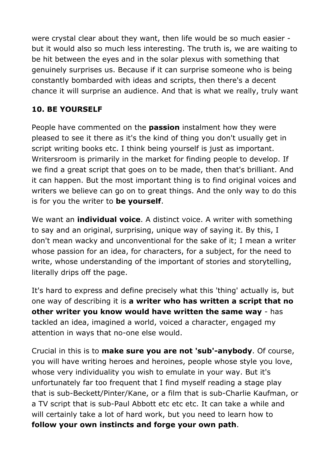were crystal clear about they want, then life would be so much easier but it would also so much less interesting. The truth is, we are waiting to be hit between the eyes and in the solar plexus with something that genuinely surprises us. Because if it can surprise someone who is being constantly bombarded with ideas and scripts, then there's a decent chance it will surprise an audience. And that is what we really, truly want

### **10. BE YOURSELF**

People have commented on the **passion** instalment how they were pleased to see it there as it's the kind of thing you don't usually get in script writing books etc. I think being yourself is just as important. Writersroom is primarily in the market for finding people to develop. If we find a great script that goes on to be made, then that's brilliant. And it can happen. But the most important thing is to find original voices and writers we believe can go on to great things. And the only way to do this is for you the writer to **be yourself**.

We want an **individual voice**. A distinct voice. A writer with something to say and an original, surprising, unique way of saying it. By this, I don't mean wacky and unconventional for the sake of it; I mean a writer whose passion for an idea, for characters, for a subject, for the need to write, whose understanding of the important of stories and storytelling, literally drips off the page.

It's hard to express and define precisely what this 'thing' actually is, but one way of describing it is **a writer who has written a script that no other writer you know would have written the same way** - has tackled an idea, imagined a world, voiced a character, engaged my attention in ways that no-one else would.

Crucial in this is to **make sure you are not 'sub'-anybody**. Of course, you will have writing heroes and heroines, people whose style you love, whose very individuality you wish to emulate in your way. But it's unfortunately far too frequent that I find myself reading a stage play that is sub-Beckett/Pinter/Kane, or a film that is sub-Charlie Kaufman, or a TV script that is sub-Paul Abbott etc etc etc. It can take a while and will certainly take a lot of hard work, but you need to learn how to **follow your own instincts and forge your own path**.